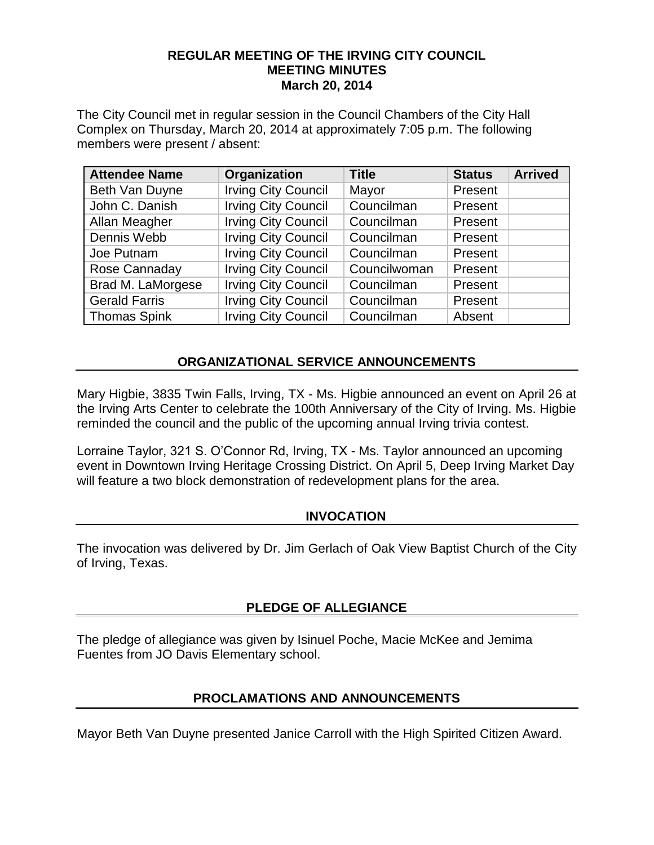#### **REGULAR MEETING OF THE IRVING CITY COUNCIL MEETING MINUTES March 20, 2014**

The City Council met in regular session in the Council Chambers of the City Hall Complex on Thursday, March 20, 2014 at approximately 7:05 p.m. The following members were present / absent:

| <b>Attendee Name</b> | Organization               | <b>Title</b> | <b>Status</b> | <b>Arrived</b> |
|----------------------|----------------------------|--------------|---------------|----------------|
| Beth Van Duyne       | <b>Irving City Council</b> | Mayor        | Present       |                |
| John C. Danish       | <b>Irving City Council</b> | Councilman   | Present       |                |
| Allan Meagher        | <b>Irving City Council</b> | Councilman   | Present       |                |
| Dennis Webb          | <b>Irving City Council</b> | Councilman   | Present       |                |
| Joe Putnam           | <b>Irving City Council</b> | Councilman   | Present       |                |
| Rose Cannaday        | <b>Irving City Council</b> | Councilwoman | Present       |                |
| Brad M. LaMorgese    | <b>Irving City Council</b> | Councilman   | Present       |                |
| <b>Gerald Farris</b> | <b>Irving City Council</b> | Councilman   | Present       |                |
| <b>Thomas Spink</b>  | <b>Irving City Council</b> | Councilman   | Absent        |                |

## **ORGANIZATIONAL SERVICE ANNOUNCEMENTS**

Mary Higbie, 3835 Twin Falls, Irving, TX - Ms. Higbie announced an event on April 26 at the Irving Arts Center to celebrate the 100th Anniversary of the City of Irving. Ms. Higbie reminded the council and the public of the upcoming annual Irving trivia contest.

Lorraine Taylor, 321 S. O'Connor Rd, Irving, TX - Ms. Taylor announced an upcoming event in Downtown Irving Heritage Crossing District. On April 5, Deep Irving Market Day will feature a two block demonstration of redevelopment plans for the area.

#### **INVOCATION**

The invocation was delivered by Dr. Jim Gerlach of Oak View Baptist Church of the City of Irving, Texas.

## **PLEDGE OF ALLEGIANCE**

The pledge of allegiance was given by Isinuel Poche, Macie McKee and Jemima Fuentes from JO Davis Elementary school.

## **PROCLAMATIONS AND ANNOUNCEMENTS**

Mayor Beth Van Duyne presented Janice Carroll with the High Spirited Citizen Award.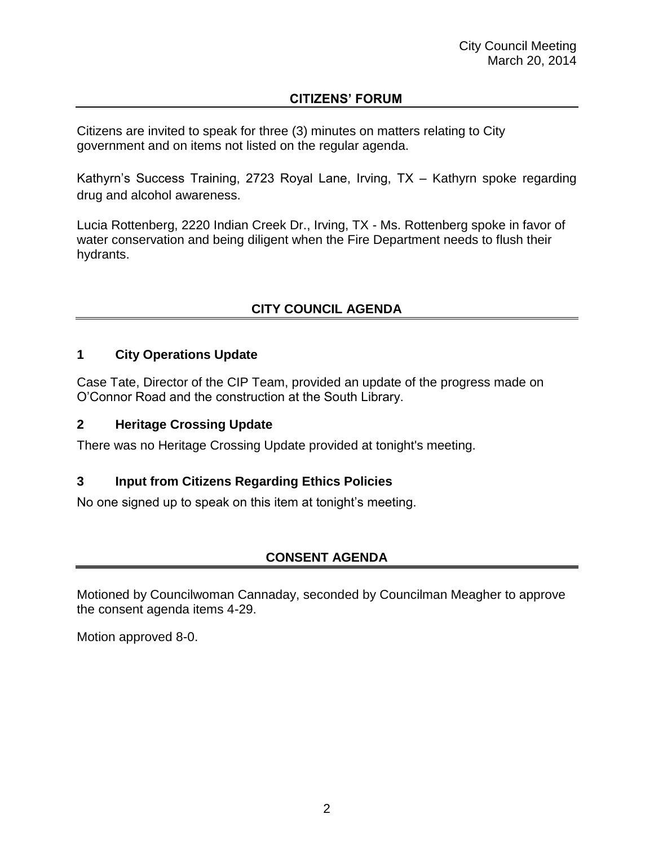## **CITIZENS' FORUM**

Citizens are invited to speak for three (3) minutes on matters relating to City government and on items not listed on the regular agenda.

Kathyrn's Success Training, 2723 Royal Lane, Irving, TX – Kathyrn spoke regarding drug and alcohol awareness.

Lucia Rottenberg, 2220 Indian Creek Dr., Irving, TX - Ms. Rottenberg spoke in favor of water conservation and being diligent when the Fire Department needs to flush their hydrants.

# **CITY COUNCIL AGENDA**

### **1 City Operations Update**

Case Tate, Director of the CIP Team, provided an update of the progress made on O'Connor Road and the construction at the South Library.

### **2 Heritage Crossing Update**

There was no Heritage Crossing Update provided at tonight's meeting.

## **3 Input from Citizens Regarding Ethics Policies**

No one signed up to speak on this item at tonight's meeting.

## **CONSENT AGENDA**

Motioned by Councilwoman Cannaday, seconded by Councilman Meagher to approve the consent agenda items 4-29.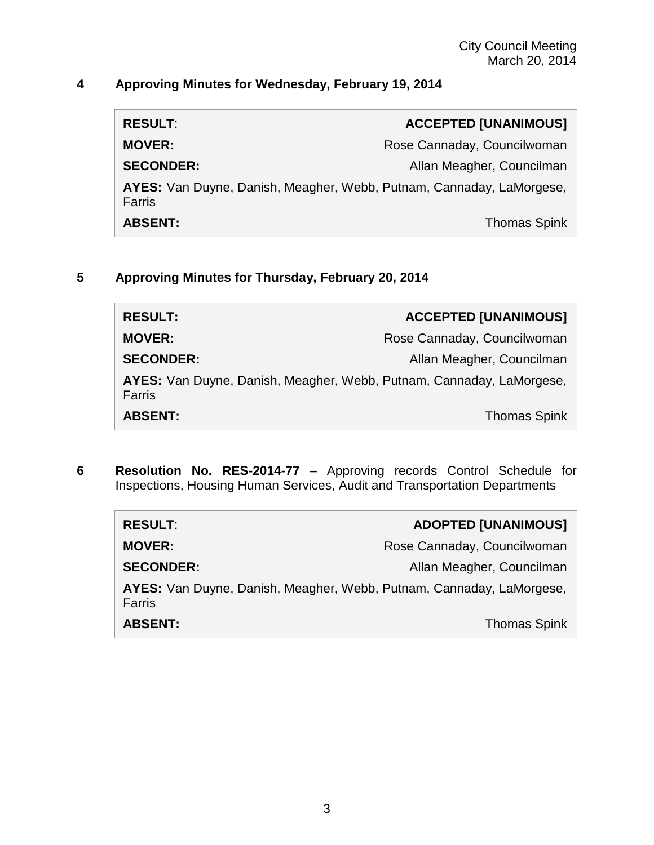# **4 Approving Minutes for Wednesday, February 19, 2014**

| <b>RESULT:</b>                                                                 | <b>ACCEPTED [UNANIMOUS]</b> |
|--------------------------------------------------------------------------------|-----------------------------|
| <b>MOVER:</b>                                                                  | Rose Cannaday, Councilwoman |
| <b>SECONDER:</b>                                                               | Allan Meagher, Councilman   |
| AYES: Van Duyne, Danish, Meagher, Webb, Putnam, Cannaday, LaMorgese,<br>Farris |                             |
| <b>ABSENT:</b>                                                                 | <b>Thomas Spink</b>         |

## **5 Approving Minutes for Thursday, February 20, 2014**

| <b>RESULT:</b>                                                                 | <b>ACCEPTED [UNANIMOUS]</b> |
|--------------------------------------------------------------------------------|-----------------------------|
| <b>MOVER:</b>                                                                  | Rose Cannaday, Councilwoman |
| <b>SECONDER:</b>                                                               | Allan Meagher, Councilman   |
| AYES: Van Duyne, Danish, Meagher, Webb, Putnam, Cannaday, LaMorgese,<br>Farris |                             |
| <b>ABSENT:</b>                                                                 | <b>Thomas Spink</b>         |

**6 Resolution No. RES-2014-77 –** Approving records Control Schedule for Inspections, Housing Human Services, Audit and Transportation Departments

| <b>RESULT:</b>                                                                 | <b>ADOPTED [UNANIMOUS]</b>  |
|--------------------------------------------------------------------------------|-----------------------------|
| <b>MOVER:</b>                                                                  | Rose Cannaday, Councilwoman |
| <b>SECONDER:</b>                                                               | Allan Meagher, Councilman   |
| AYES: Van Duyne, Danish, Meagher, Webb, Putnam, Cannaday, LaMorgese,<br>Farris |                             |
| <b>ABSENT:</b>                                                                 | <b>Thomas Spink</b>         |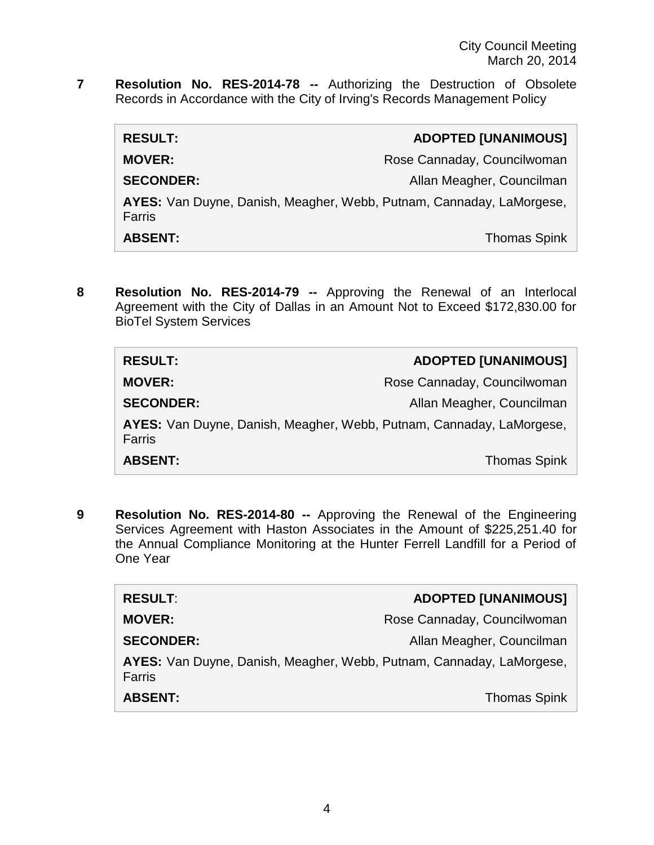**7 Resolution No. RES-2014-78 --** Authorizing the Destruction of Obsolete Records in Accordance with the City of Irving's Records Management Policy

| <b>RESULT:</b>                                                                 | <b>ADOPTED [UNANIMOUS]</b>  |
|--------------------------------------------------------------------------------|-----------------------------|
| <b>MOVER:</b>                                                                  | Rose Cannaday, Councilwoman |
| <b>SECONDER:</b>                                                               | Allan Meagher, Councilman   |
| AYES: Van Duyne, Danish, Meagher, Webb, Putnam, Cannaday, LaMorgese,<br>Farris |                             |
| <b>ABSENT:</b>                                                                 | <b>Thomas Spink</b>         |

**8 Resolution No. RES-2014-79 --** Approving the Renewal of an Interlocal Agreement with the City of Dallas in an Amount Not to Exceed \$172,830.00 for BioTel System Services

| <b>RESULT:</b>                                                                        | <b>ADOPTED [UNANIMOUS]</b>  |
|---------------------------------------------------------------------------------------|-----------------------------|
| <b>MOVER:</b>                                                                         | Rose Cannaday, Councilwoman |
| <b>SECONDER:</b>                                                                      | Allan Meagher, Councilman   |
| AYES: Van Duyne, Danish, Meagher, Webb, Putnam, Cannaday, LaMorgese,<br><b>Farris</b> |                             |
| <b>ABSENT:</b>                                                                        | <b>Thomas Spink</b>         |

**9 Resolution No. RES-2014-80 --** Approving the Renewal of the Engineering Services Agreement with Haston Associates in the Amount of \$225,251.40 for the Annual Compliance Monitoring at the Hunter Ferrell Landfill for a Period of One Year

| <b>RESULT:</b>                                                                 | <b>ADOPTED [UNANIMOUS]</b>  |
|--------------------------------------------------------------------------------|-----------------------------|
| <b>MOVER:</b>                                                                  | Rose Cannaday, Councilwoman |
| <b>SECONDER:</b>                                                               | Allan Meagher, Councilman   |
| AYES: Van Duyne, Danish, Meagher, Webb, Putnam, Cannaday, LaMorgese,<br>Farris |                             |
| <b>ABSENT:</b>                                                                 | <b>Thomas Spink</b>         |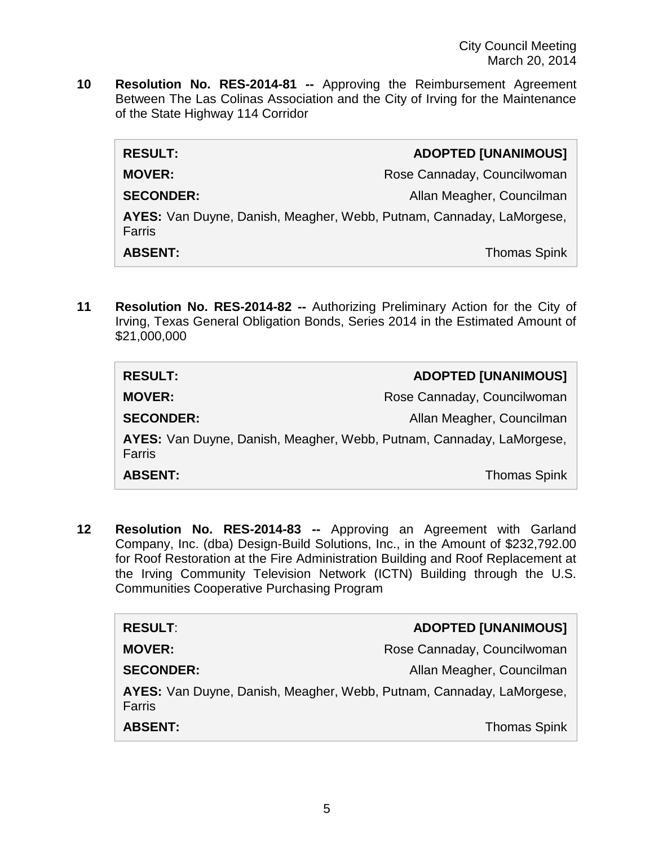**10 Resolution No. RES-2014-81 --** Approving the Reimbursement Agreement Between The Las Colinas Association and the City of Irving for the Maintenance of the State Highway 114 Corridor

| <b>RESULT:</b>                                                                 | <b>ADOPTED [UNANIMOUS]</b>  |
|--------------------------------------------------------------------------------|-----------------------------|
| <b>MOVER:</b>                                                                  | Rose Cannaday, Councilwoman |
| <b>SECONDER:</b>                                                               | Allan Meagher, Councilman   |
| AYES: Van Duyne, Danish, Meagher, Webb, Putnam, Cannaday, LaMorgese,<br>Farris |                             |
| <b>ABSENT:</b>                                                                 | <b>Thomas Spink</b>         |

**11 Resolution No. RES-2014-82 --** Authorizing Preliminary Action for the City of Irving, Texas General Obligation Bonds, Series 2014 in the Estimated Amount of \$21,000,000

| <b>RESULT:</b>                                                                 | <b>ADOPTED [UNANIMOUS]</b>  |
|--------------------------------------------------------------------------------|-----------------------------|
| <b>MOVER:</b>                                                                  | Rose Cannaday, Councilwoman |
| <b>SECONDER:</b>                                                               | Allan Meagher, Councilman   |
| AYES: Van Duyne, Danish, Meagher, Webb, Putnam, Cannaday, LaMorgese,<br>Farris |                             |
| <b>ABSENT:</b>                                                                 | <b>Thomas Spink</b>         |

**12 Resolution No. RES-2014-83 --** Approving an Agreement with Garland Company, Inc. (dba) Design-Build Solutions, Inc., in the Amount of \$232,792.00 for Roof Restoration at the Fire Administration Building and Roof Replacement at the Irving Community Television Network (ICTN) Building through the U.S. Communities Cooperative Purchasing Program

| <b>RESULT:</b>                                                                 | <b>ADOPTED [UNANIMOUS]</b>  |
|--------------------------------------------------------------------------------|-----------------------------|
| <b>MOVER:</b>                                                                  | Rose Cannaday, Councilwoman |
| <b>SECONDER:</b>                                                               | Allan Meagher, Councilman   |
| AYES: Van Duyne, Danish, Meagher, Webb, Putnam, Cannaday, LaMorgese,<br>Farris |                             |
| <b>ABSENT:</b>                                                                 | <b>Thomas Spink</b>         |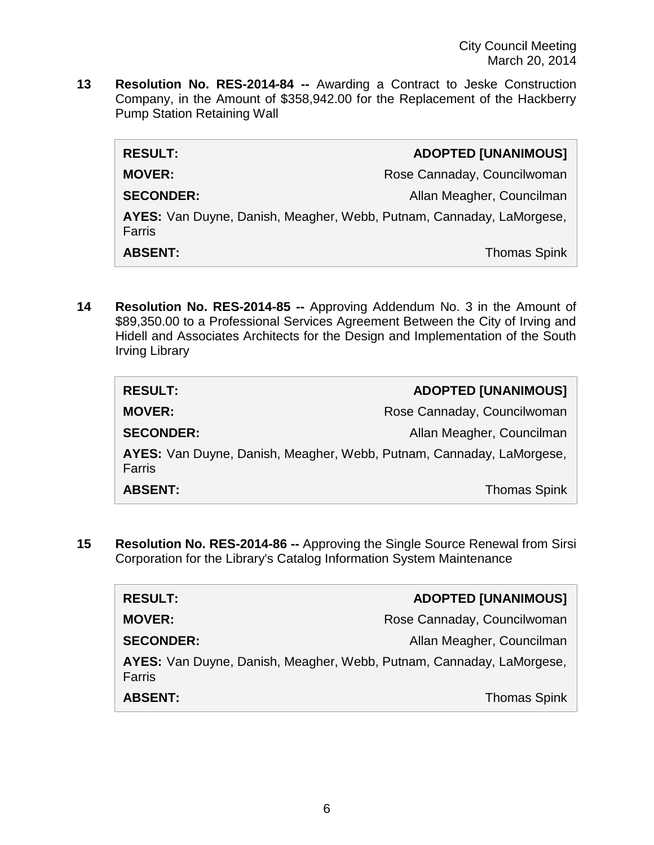**13 Resolution No. RES-2014-84 --** Awarding a Contract to Jeske Construction Company, in the Amount of \$358,942.00 for the Replacement of the Hackberry Pump Station Retaining Wall

| <b>RESULT:</b>                                                                 | <b>ADOPTED [UNANIMOUS]</b>  |
|--------------------------------------------------------------------------------|-----------------------------|
| <b>MOVER:</b>                                                                  | Rose Cannaday, Councilwoman |
| <b>SECONDER:</b>                                                               | Allan Meagher, Councilman   |
| AYES: Van Duyne, Danish, Meagher, Webb, Putnam, Cannaday, LaMorgese,<br>Farris |                             |
| <b>ABSENT:</b>                                                                 | <b>Thomas Spink</b>         |

**14 Resolution No. RES-2014-85 --** Approving Addendum No. 3 in the Amount of \$89,350.00 to a Professional Services Agreement Between the City of Irving and Hidell and Associates Architects for the Design and Implementation of the South Irving Library

| <b>RESULT:</b>                                                                 | <b>ADOPTED [UNANIMOUS]</b>  |
|--------------------------------------------------------------------------------|-----------------------------|
| <b>MOVER:</b>                                                                  | Rose Cannaday, Councilwoman |
| <b>SECONDER:</b>                                                               | Allan Meagher, Councilman   |
| AYES: Van Duyne, Danish, Meagher, Webb, Putnam, Cannaday, LaMorgese,<br>Farris |                             |
| <b>ABSENT:</b>                                                                 | <b>Thomas Spink</b>         |

**15 Resolution No. RES-2014-86 --** Approving the Single Source Renewal from Sirsi Corporation for the Library's Catalog Information System Maintenance

| <b>RESULT:</b>                                                                 | <b>ADOPTED [UNANIMOUS]</b>  |
|--------------------------------------------------------------------------------|-----------------------------|
| <b>MOVER:</b>                                                                  | Rose Cannaday, Councilwoman |
| <b>SECONDER:</b>                                                               | Allan Meagher, Councilman   |
| AYES: Van Duyne, Danish, Meagher, Webb, Putnam, Cannaday, LaMorgese,<br>Farris |                             |
| <b>ABSENT:</b>                                                                 | <b>Thomas Spink</b>         |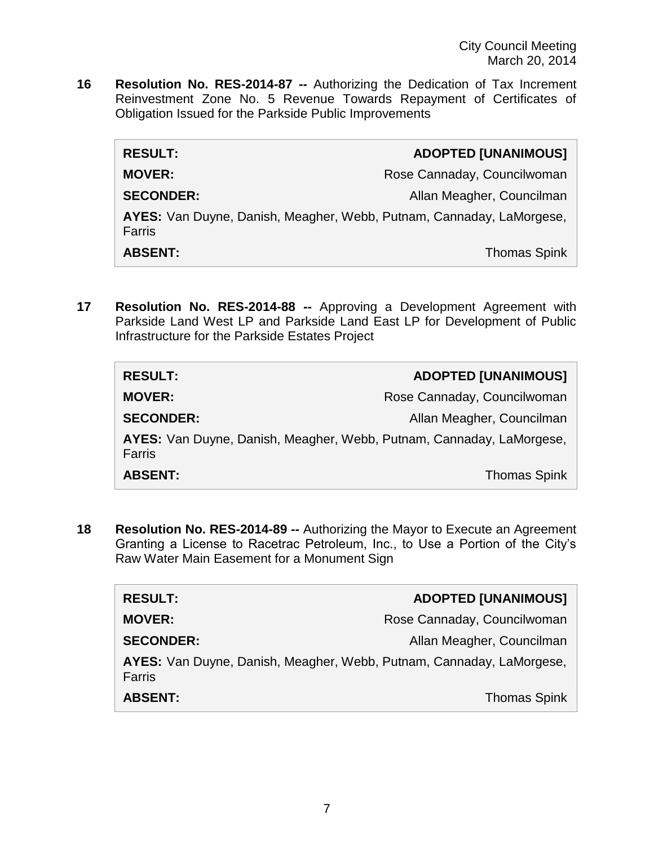**16 Resolution No. RES-2014-87 --** Authorizing the Dedication of Tax Increment Reinvestment Zone No. 5 Revenue Towards Repayment of Certificates of Obligation Issued for the Parkside Public Improvements

| <b>RESULT:</b>                                                                 | <b>ADOPTED [UNANIMOUS]</b>  |
|--------------------------------------------------------------------------------|-----------------------------|
| <b>MOVER:</b>                                                                  | Rose Cannaday, Councilwoman |
| <b>SECONDER:</b>                                                               | Allan Meagher, Councilman   |
| AYES: Van Duyne, Danish, Meagher, Webb, Putnam, Cannaday, LaMorgese,<br>Farris |                             |
| <b>ABSENT:</b>                                                                 | <b>Thomas Spink</b>         |

**17 Resolution No. RES-2014-88 --** Approving a Development Agreement with Parkside Land West LP and Parkside Land East LP for Development of Public Infrastructure for the Parkside Estates Project

| <b>RESULT:</b>                                                                 | <b>ADOPTED [UNANIMOUS]</b>  |
|--------------------------------------------------------------------------------|-----------------------------|
| <b>MOVER:</b>                                                                  | Rose Cannaday, Councilwoman |
| <b>SECONDER:</b>                                                               | Allan Meagher, Councilman   |
| AYES: Van Duyne, Danish, Meagher, Webb, Putnam, Cannaday, LaMorgese,<br>Farris |                             |
| <b>ABSENT:</b>                                                                 | <b>Thomas Spink</b>         |

**18 Resolution No. RES-2014-89 --** Authorizing the Mayor to Execute an Agreement Granting a License to Racetrac Petroleum, Inc., to Use a Portion of the City's Raw Water Main Easement for a Monument Sign

| <b>RESULT:</b>                                                                 | <b>ADOPTED [UNANIMOUS]</b>  |
|--------------------------------------------------------------------------------|-----------------------------|
| <b>MOVER:</b>                                                                  | Rose Cannaday, Councilwoman |
| <b>SECONDER:</b>                                                               | Allan Meagher, Councilman   |
| AYES: Van Duyne, Danish, Meagher, Webb, Putnam, Cannaday, LaMorgese,<br>Farris |                             |
| <b>ABSENT:</b>                                                                 | <b>Thomas Spink</b>         |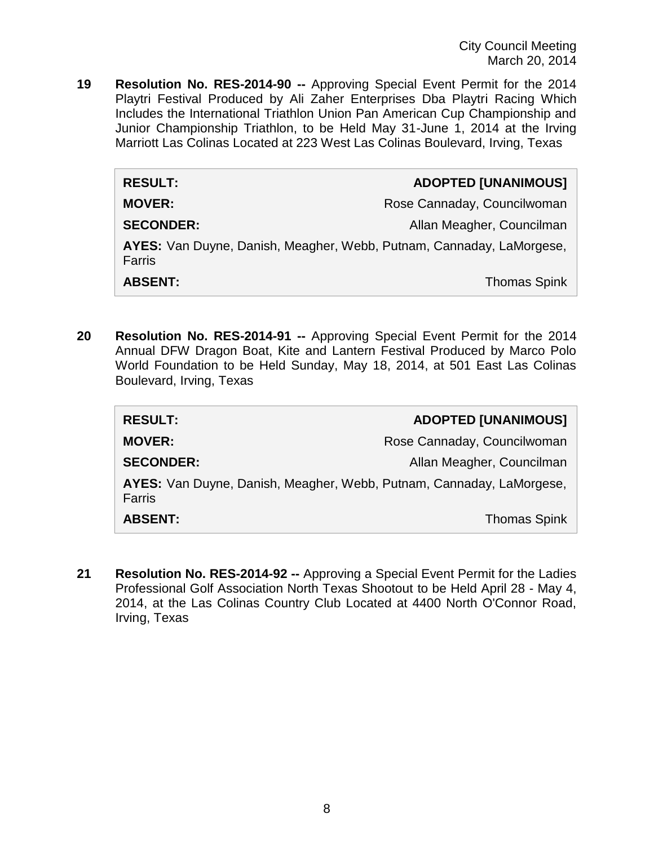City Council Meeting March 20, 2014

**19 Resolution No. RES-2014-90 --** Approving Special Event Permit for the 2014 Playtri Festival Produced by Ali Zaher Enterprises Dba Playtri Racing Which Includes the International Triathlon Union Pan American Cup Championship and Junior Championship Triathlon, to be Held May 31-June 1, 2014 at the Irving Marriott Las Colinas Located at 223 West Las Colinas Boulevard, Irving, Texas

| <b>RESULT:</b>                                                                 | <b>ADOPTED [UNANIMOUS]</b>  |
|--------------------------------------------------------------------------------|-----------------------------|
| <b>MOVER:</b>                                                                  | Rose Cannaday, Councilwoman |
| <b>SECONDER:</b>                                                               | Allan Meagher, Councilman   |
| AYES: Van Duyne, Danish, Meagher, Webb, Putnam, Cannaday, LaMorgese,<br>Farris |                             |
| <b>ABSENT:</b>                                                                 | <b>Thomas Spink</b>         |

**20 Resolution No. RES-2014-91 --** Approving Special Event Permit for the 2014 Annual DFW Dragon Boat, Kite and Lantern Festival Produced by Marco Polo World Foundation to be Held Sunday, May 18, 2014, at 501 East Las Colinas Boulevard, Irving, Texas

| <b>RESULT:</b>                                                                 | <b>ADOPTED [UNANIMOUS]</b>  |
|--------------------------------------------------------------------------------|-----------------------------|
| <b>MOVER:</b>                                                                  | Rose Cannaday, Councilwoman |
| <b>SECONDER:</b>                                                               | Allan Meagher, Councilman   |
| AYES: Van Duyne, Danish, Meagher, Webb, Putnam, Cannaday, LaMorgese,<br>Farris |                             |
| <b>ABSENT:</b>                                                                 | <b>Thomas Spink</b>         |

**21 Resolution No. RES-2014-92 --** Approving a Special Event Permit for the Ladies Professional Golf Association North Texas Shootout to be Held April 28 - May 4, 2014, at the Las Colinas Country Club Located at 4400 North O'Connor Road, Irving, Texas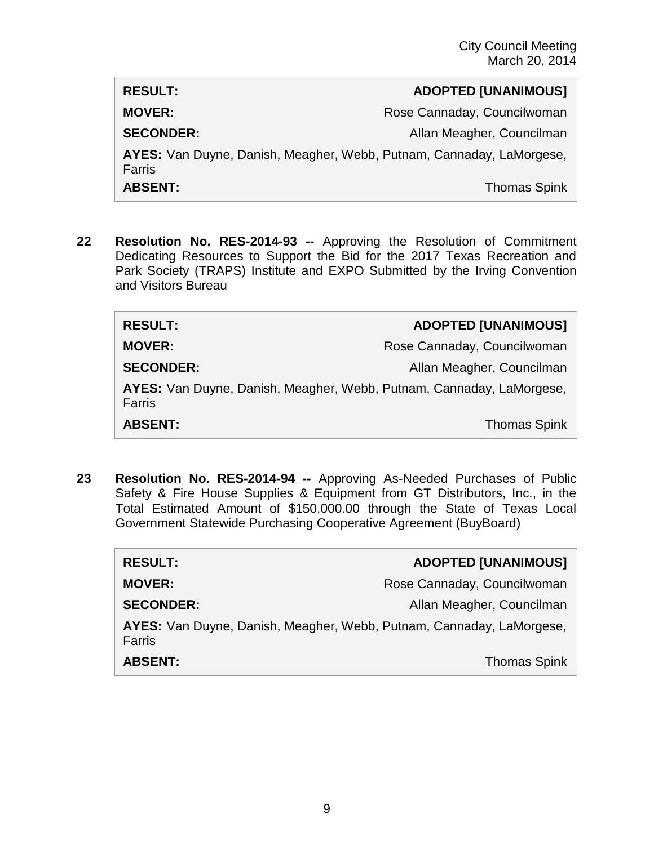| <b>RESULT:</b>                                                                 | <b>ADOPTED [UNANIMOUS]</b>  |
|--------------------------------------------------------------------------------|-----------------------------|
| <b>MOVER:</b>                                                                  | Rose Cannaday, Councilwoman |
| <b>SECONDER:</b>                                                               | Allan Meagher, Councilman   |
| AYES: Van Duyne, Danish, Meagher, Webb, Putnam, Cannaday, LaMorgese,<br>Farris |                             |
| <b>ABSENT:</b>                                                                 | <b>Thomas Spink</b>         |

**22 Resolution No. RES-2014-93 --** Approving the Resolution of Commitment Dedicating Resources to Support the Bid for the 2017 Texas Recreation and Park Society (TRAPS) Institute and EXPO Submitted by the Irving Convention and Visitors Bureau

| <b>RESULT:</b>                                                                 | <b>ADOPTED [UNANIMOUS]</b>  |
|--------------------------------------------------------------------------------|-----------------------------|
| <b>MOVER:</b>                                                                  | Rose Cannaday, Councilwoman |
| <b>SECONDER:</b>                                                               | Allan Meagher, Councilman   |
| AYES: Van Duyne, Danish, Meagher, Webb, Putnam, Cannaday, LaMorgese,<br>Farris |                             |
| <b>ABSENT:</b>                                                                 | <b>Thomas Spink</b>         |

**23 Resolution No. RES-2014-94 --** Approving As-Needed Purchases of Public Safety & Fire House Supplies & Equipment from GT Distributors, Inc., in the Total Estimated Amount of \$150,000.00 through the State of Texas Local Government Statewide Purchasing Cooperative Agreement (BuyBoard)

| <b>RESULT:</b>                                                                 | <b>ADOPTED [UNANIMOUS]</b>  |
|--------------------------------------------------------------------------------|-----------------------------|
| <b>MOVER:</b>                                                                  | Rose Cannaday, Councilwoman |
| <b>SECONDER:</b>                                                               | Allan Meagher, Councilman   |
| AYES: Van Duyne, Danish, Meagher, Webb, Putnam, Cannaday, LaMorgese,<br>Farris |                             |
| <b>ABSENT:</b>                                                                 | <b>Thomas Spink</b>         |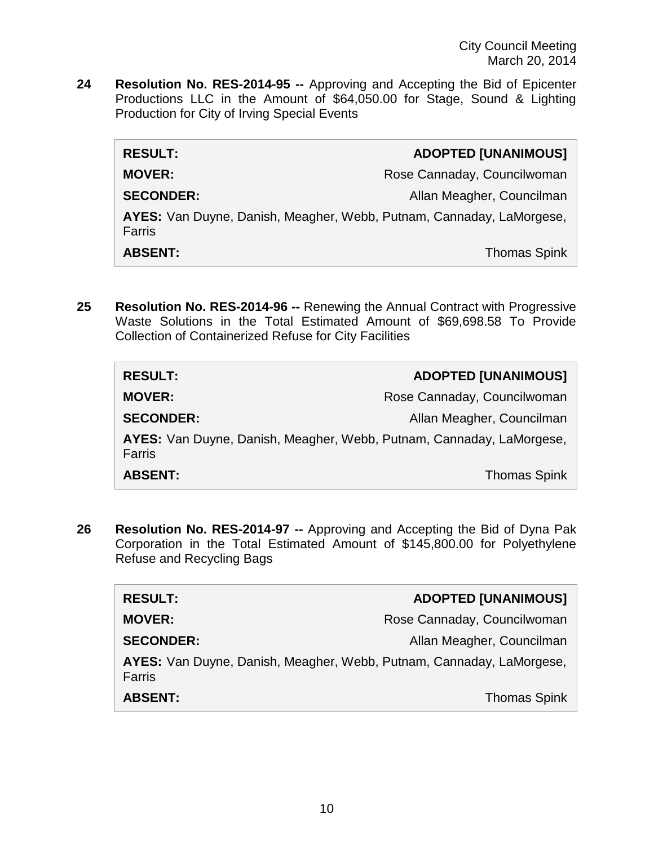**24 Resolution No. RES-2014-95 --** Approving and Accepting the Bid of Epicenter Productions LLC in the Amount of \$64,050.00 for Stage, Sound & Lighting Production for City of Irving Special Events

| <b>RESULT:</b>                                                                 | <b>ADOPTED [UNANIMOUS]</b>  |
|--------------------------------------------------------------------------------|-----------------------------|
| <b>MOVER:</b>                                                                  | Rose Cannaday, Councilwoman |
| <b>SECONDER:</b>                                                               | Allan Meagher, Councilman   |
| AYES: Van Duyne, Danish, Meagher, Webb, Putnam, Cannaday, LaMorgese,<br>Farris |                             |
| <b>ABSENT:</b>                                                                 | <b>Thomas Spink</b>         |

**25 Resolution No. RES-2014-96 --** Renewing the Annual Contract with Progressive Waste Solutions in the Total Estimated Amount of \$69,698.58 To Provide Collection of Containerized Refuse for City Facilities

| <b>RESULT:</b>                                                                 | <b>ADOPTED [UNANIMOUS]</b>  |
|--------------------------------------------------------------------------------|-----------------------------|
| <b>MOVER:</b>                                                                  | Rose Cannaday, Councilwoman |
| <b>SECONDER:</b>                                                               | Allan Meagher, Councilman   |
| AYES: Van Duyne, Danish, Meagher, Webb, Putnam, Cannaday, LaMorgese,<br>Farris |                             |
| <b>ABSENT:</b>                                                                 | <b>Thomas Spink</b>         |

**26 Resolution No. RES-2014-97 --** Approving and Accepting the Bid of Dyna Pak Corporation in the Total Estimated Amount of \$145,800.00 for Polyethylene Refuse and Recycling Bags

| <b>RESULT:</b>                                                                 | <b>ADOPTED [UNANIMOUS]</b>  |
|--------------------------------------------------------------------------------|-----------------------------|
| <b>MOVER:</b>                                                                  | Rose Cannaday, Councilwoman |
| <b>SECONDER:</b>                                                               | Allan Meagher, Councilman   |
| AYES: Van Duyne, Danish, Meagher, Webb, Putnam, Cannaday, LaMorgese,<br>Farris |                             |
| <b>ABSENT:</b>                                                                 | <b>Thomas Spink</b>         |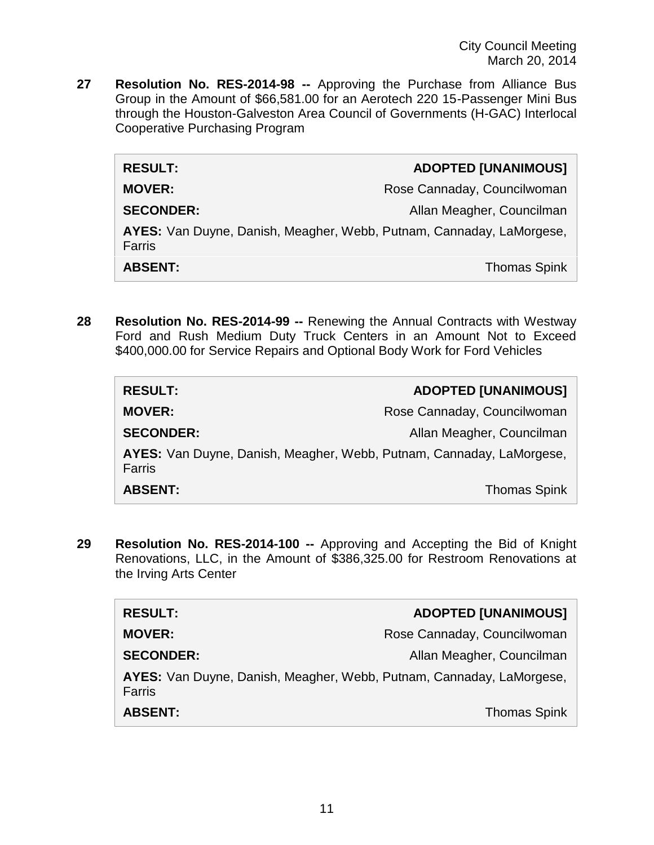City Council Meeting March 20, 2014

**27 Resolution No. RES-2014-98 --** Approving the Purchase from Alliance Bus Group in the Amount of \$66,581.00 for an Aerotech 220 15-Passenger Mini Bus through the Houston-Galveston Area Council of Governments (H-GAC) Interlocal Cooperative Purchasing Program

| <b>RESULT:</b>                                                                 | <b>ADOPTED [UNANIMOUS]</b>  |
|--------------------------------------------------------------------------------|-----------------------------|
| <b>MOVER:</b>                                                                  | Rose Cannaday, Councilwoman |
| <b>SECONDER:</b>                                                               | Allan Meagher, Councilman   |
| AYES: Van Duyne, Danish, Meagher, Webb, Putnam, Cannaday, LaMorgese,<br>Farris |                             |
| <b>ABSENT:</b>                                                                 | <b>Thomas Spink</b>         |

**28 Resolution No. RES-2014-99 --** Renewing the Annual Contracts with Westway Ford and Rush Medium Duty Truck Centers in an Amount Not to Exceed \$400,000.00 for Service Repairs and Optional Body Work for Ford Vehicles

| <b>RESULT:</b>                                                                 | <b>ADOPTED [UNANIMOUS]</b>  |
|--------------------------------------------------------------------------------|-----------------------------|
| <b>MOVER:</b>                                                                  | Rose Cannaday, Councilwoman |
| <b>SECONDER:</b>                                                               | Allan Meagher, Councilman   |
| AYES: Van Duyne, Danish, Meagher, Webb, Putnam, Cannaday, LaMorgese,<br>Farris |                             |
| <b>ABSENT:</b>                                                                 | <b>Thomas Spink</b>         |

**29 Resolution No. RES-2014-100 --** Approving and Accepting the Bid of Knight Renovations, LLC, in the Amount of \$386,325.00 for Restroom Renovations at the Irving Arts Center

| <b>RESULT:</b>                                                                 | <b>ADOPTED [UNANIMOUS]</b>  |
|--------------------------------------------------------------------------------|-----------------------------|
| <b>MOVER:</b>                                                                  | Rose Cannaday, Councilwoman |
| <b>SECONDER:</b>                                                               | Allan Meagher, Councilman   |
| AYES: Van Duyne, Danish, Meagher, Webb, Putnam, Cannaday, LaMorgese,<br>Farris |                             |
| <b>ABSENT:</b>                                                                 | <b>Thomas Spink</b>         |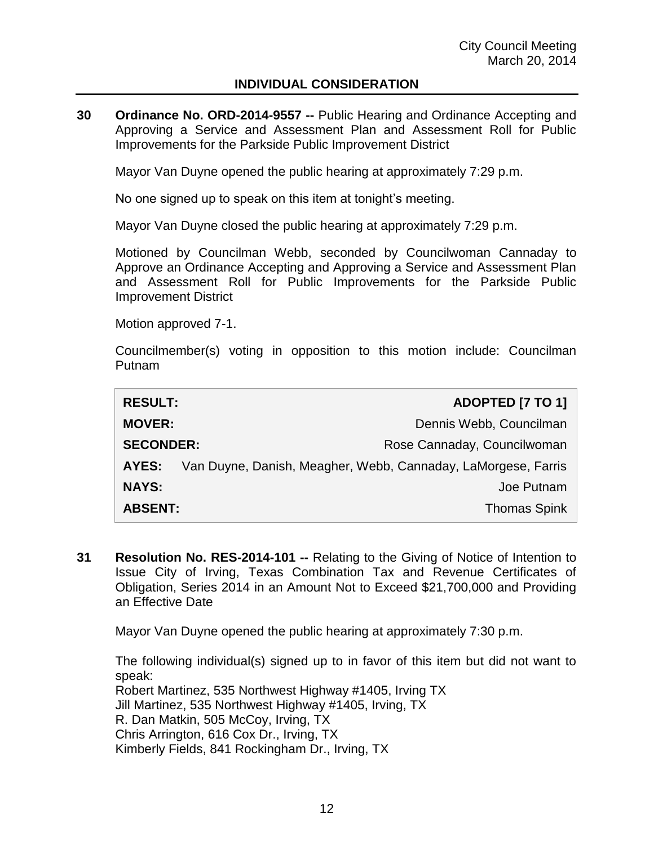#### **INDIVIDUAL CONSIDERATION**

**30 Ordinance No. ORD-2014-9557 --** Public Hearing and Ordinance Accepting and Approving a Service and Assessment Plan and Assessment Roll for Public Improvements for the Parkside Public Improvement District

Mayor Van Duyne opened the public hearing at approximately 7:29 p.m.

No one signed up to speak on this item at tonight's meeting.

Mayor Van Duyne closed the public hearing at approximately 7:29 p.m.

Motioned by Councilman Webb, seconded by Councilwoman Cannaday to Approve an Ordinance Accepting and Approving a Service and Assessment Plan and Assessment Roll for Public Improvements for the Parkside Public Improvement District

Motion approved 7-1.

Councilmember(s) voting in opposition to this motion include: Councilman Putnam

| <b>RESULT:</b>   | <b>ADOPTED [7 TO 1]</b>                                       |
|------------------|---------------------------------------------------------------|
| <b>MOVER:</b>    | Dennis Webb, Councilman                                       |
| <b>SECONDER:</b> | Rose Cannaday, Councilwoman                                   |
| AYES:            | Van Duyne, Danish, Meagher, Webb, Cannaday, LaMorgese, Farris |
| <b>NAYS:</b>     | Joe Putnam                                                    |
| <b>ABSENT:</b>   | <b>Thomas Spink</b>                                           |

**31 Resolution No. RES-2014-101 --** Relating to the Giving of Notice of Intention to Issue City of Irving, Texas Combination Tax and Revenue Certificates of Obligation, Series 2014 in an Amount Not to Exceed \$21,700,000 and Providing an Effective Date

Mayor Van Duyne opened the public hearing at approximately 7:30 p.m.

The following individual(s) signed up to in favor of this item but did not want to speak: Robert Martinez, 535 Northwest Highway #1405, Irving TX Jill Martinez, 535 Northwest Highway #1405, Irving, TX R. Dan Matkin, 505 McCoy, Irving, TX Chris Arrington, 616 Cox Dr., Irving, TX Kimberly Fields, 841 Rockingham Dr., Irving, TX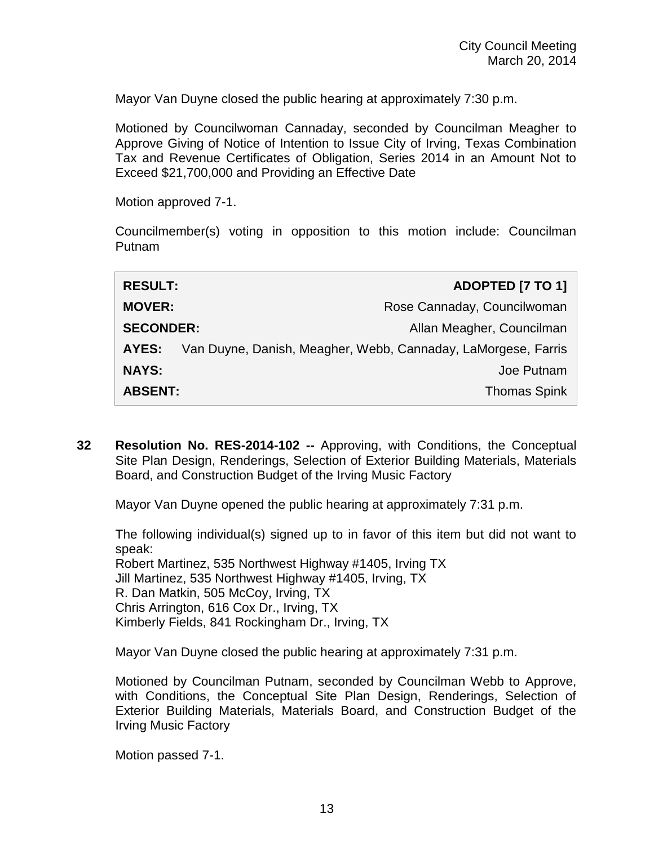Mayor Van Duyne closed the public hearing at approximately 7:30 p.m.

Motioned by Councilwoman Cannaday, seconded by Councilman Meagher to Approve Giving of Notice of Intention to Issue City of Irving, Texas Combination Tax and Revenue Certificates of Obligation, Series 2014 in an Amount Not to Exceed \$21,700,000 and Providing an Effective Date

Motion approved 7-1.

Councilmember(s) voting in opposition to this motion include: Councilman Putnam

| <b>RESULT:</b>   | <b>ADOPTED [7 TO 1]</b>                                       |
|------------------|---------------------------------------------------------------|
| <b>MOVER:</b>    | Rose Cannaday, Councilwoman                                   |
| <b>SECONDER:</b> | Allan Meagher, Councilman                                     |
| AYES:            | Van Duyne, Danish, Meagher, Webb, Cannaday, LaMorgese, Farris |
| <b>NAYS:</b>     | Joe Putnam                                                    |
| <b>ABSENT:</b>   | <b>Thomas Spink</b>                                           |

**32 Resolution No. RES-2014-102 --** Approving, with Conditions, the Conceptual Site Plan Design, Renderings, Selection of Exterior Building Materials, Materials Board, and Construction Budget of the Irving Music Factory

Mayor Van Duyne opened the public hearing at approximately 7:31 p.m.

The following individual(s) signed up to in favor of this item but did not want to speak: Robert Martinez, 535 Northwest Highway #1405, Irving TX Jill Martinez, 535 Northwest Highway #1405, Irving, TX R. Dan Matkin, 505 McCoy, Irving, TX Chris Arrington, 616 Cox Dr., Irving, TX Kimberly Fields, 841 Rockingham Dr., Irving, TX

Mayor Van Duyne closed the public hearing at approximately 7:31 p.m.

Motioned by Councilman Putnam, seconded by Councilman Webb to Approve, with Conditions, the Conceptual Site Plan Design, Renderings, Selection of Exterior Building Materials, Materials Board, and Construction Budget of the Irving Music Factory

Motion passed 7-1.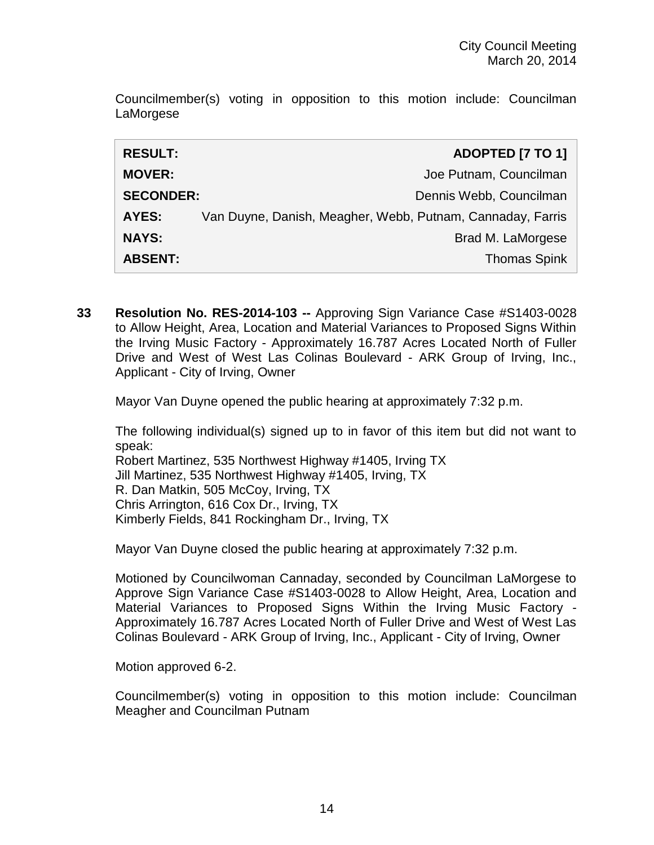Councilmember(s) voting in opposition to this motion include: Councilman LaMorgese

| <b>RESULT:</b>   | ADOPTED [7 TO 1]                                           |
|------------------|------------------------------------------------------------|
| <b>MOVER:</b>    | Joe Putnam, Councilman                                     |
| <b>SECONDER:</b> | Dennis Webb, Councilman                                    |
| AYES:            | Van Duyne, Danish, Meagher, Webb, Putnam, Cannaday, Farris |
| <b>NAYS:</b>     | Brad M. LaMorgese                                          |
| <b>ABSENT:</b>   | <b>Thomas Spink</b>                                        |

**33 Resolution No. RES-2014-103 --** Approving Sign Variance Case #S1403-0028 to Allow Height, Area, Location and Material Variances to Proposed Signs Within the Irving Music Factory - Approximately 16.787 Acres Located North of Fuller Drive and West of West Las Colinas Boulevard - ARK Group of Irving, Inc., Applicant - City of Irving, Owner

Mayor Van Duyne opened the public hearing at approximately 7:32 p.m.

The following individual(s) signed up to in favor of this item but did not want to speak:

Robert Martinez, 535 Northwest Highway #1405, Irving TX Jill Martinez, 535 Northwest Highway #1405, Irving, TX R. Dan Matkin, 505 McCoy, Irving, TX Chris Arrington, 616 Cox Dr., Irving, TX Kimberly Fields, 841 Rockingham Dr., Irving, TX

Mayor Van Duyne closed the public hearing at approximately 7:32 p.m.

Motioned by Councilwoman Cannaday, seconded by Councilman LaMorgese to Approve Sign Variance Case #S1403-0028 to Allow Height, Area, Location and Material Variances to Proposed Signs Within the Irving Music Factory - Approximately 16.787 Acres Located North of Fuller Drive and West of West Las Colinas Boulevard - ARK Group of Irving, Inc., Applicant - City of Irving, Owner

Motion approved 6-2.

Councilmember(s) voting in opposition to this motion include: Councilman Meagher and Councilman Putnam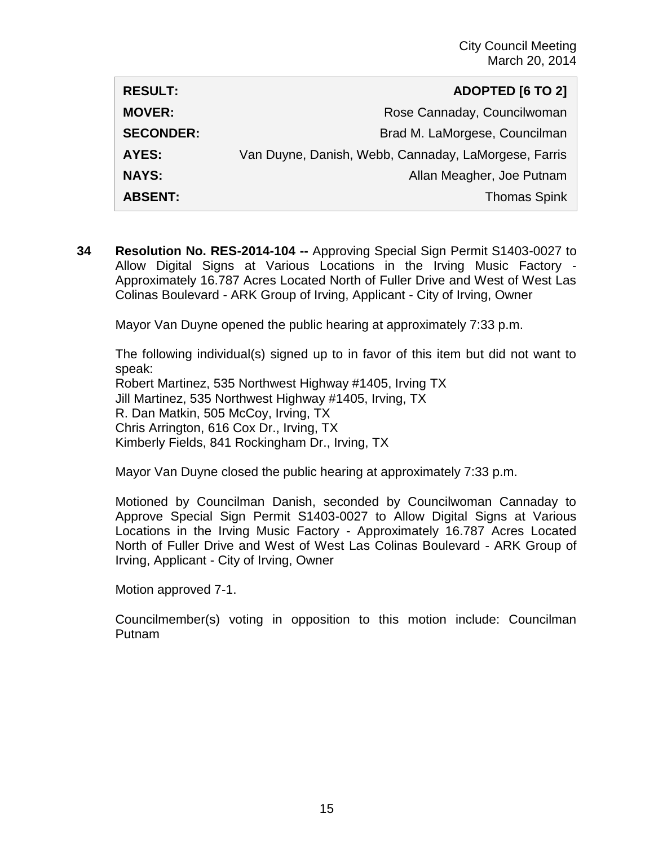| <b>RESULT:</b>   | <b>ADOPTED [6 TO 2]</b>                              |
|------------------|------------------------------------------------------|
| <b>MOVER:</b>    | Rose Cannaday, Councilwoman                          |
| <b>SECONDER:</b> | Brad M. LaMorgese, Councilman                        |
| AYES:            | Van Duyne, Danish, Webb, Cannaday, LaMorgese, Farris |
| <b>NAYS:</b>     | Allan Meagher, Joe Putnam                            |
| <b>ABSENT:</b>   | <b>Thomas Spink</b>                                  |

**34 Resolution No. RES-2014-104 --** Approving Special Sign Permit S1403-0027 to Allow Digital Signs at Various Locations in the Irving Music Factory - Approximately 16.787 Acres Located North of Fuller Drive and West of West Las Colinas Boulevard - ARK Group of Irving, Applicant - City of Irving, Owner

Mayor Van Duyne opened the public hearing at approximately 7:33 p.m.

The following individual(s) signed up to in favor of this item but did not want to speak:

Robert Martinez, 535 Northwest Highway #1405, Irving TX Jill Martinez, 535 Northwest Highway #1405, Irving, TX R. Dan Matkin, 505 McCoy, Irving, TX Chris Arrington, 616 Cox Dr., Irving, TX Kimberly Fields, 841 Rockingham Dr., Irving, TX

Mayor Van Duyne closed the public hearing at approximately 7:33 p.m.

Motioned by Councilman Danish, seconded by Councilwoman Cannaday to Approve Special Sign Permit S1403-0027 to Allow Digital Signs at Various Locations in the Irving Music Factory - Approximately 16.787 Acres Located North of Fuller Drive and West of West Las Colinas Boulevard - ARK Group of Irving, Applicant - City of Irving, Owner

Motion approved 7-1.

Councilmember(s) voting in opposition to this motion include: Councilman Putnam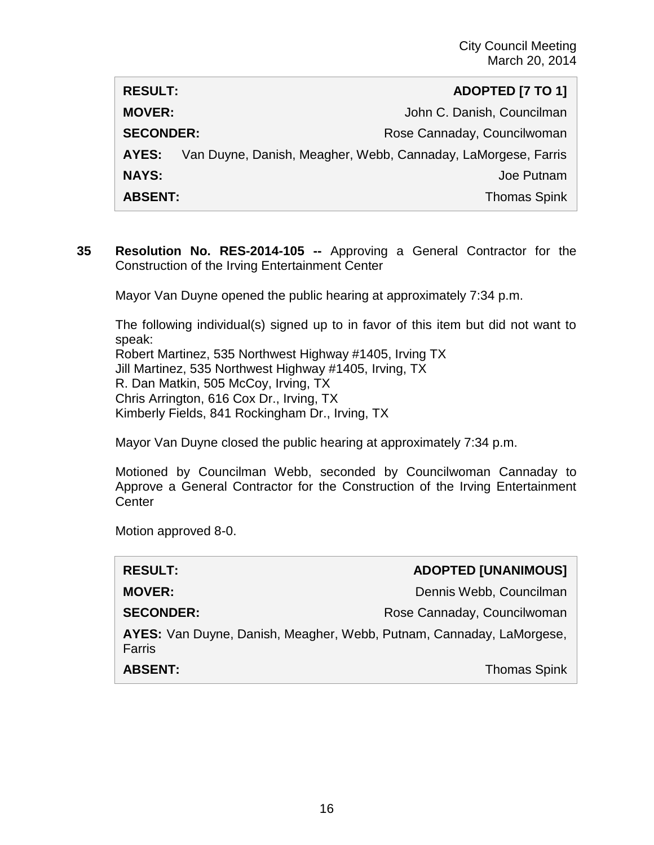| <b>RESULT:</b>   | ADOPTED [7 TO 1]                                              |
|------------------|---------------------------------------------------------------|
| <b>MOVER:</b>    | John C. Danish, Councilman                                    |
| <b>SECONDER:</b> | Rose Cannaday, Councilwoman                                   |
| AYES:            | Van Duyne, Danish, Meagher, Webb, Cannaday, LaMorgese, Farris |
| <b>NAYS:</b>     | Joe Putnam                                                    |
| <b>ABSENT:</b>   | <b>Thomas Spink</b>                                           |

**35 Resolution No. RES-2014-105 --** Approving a General Contractor for the Construction of the Irving Entertainment Center

Mayor Van Duyne opened the public hearing at approximately 7:34 p.m.

The following individual(s) signed up to in favor of this item but did not want to speak:

Robert Martinez, 535 Northwest Highway #1405, Irving TX Jill Martinez, 535 Northwest Highway #1405, Irving, TX R. Dan Matkin, 505 McCoy, Irving, TX Chris Arrington, 616 Cox Dr., Irving, TX Kimberly Fields, 841 Rockingham Dr., Irving, TX

Mayor Van Duyne closed the public hearing at approximately 7:34 p.m.

Motioned by Councilman Webb, seconded by Councilwoman Cannaday to Approve a General Contractor for the Construction of the Irving Entertainment **Center** 

| <b>RESULT:</b>                                                                 | <b>ADOPTED [UNANIMOUS]</b>  |
|--------------------------------------------------------------------------------|-----------------------------|
| <b>MOVER:</b>                                                                  | Dennis Webb, Councilman     |
| <b>SECONDER:</b>                                                               | Rose Cannaday, Councilwoman |
| AYES: Van Duyne, Danish, Meagher, Webb, Putnam, Cannaday, LaMorgese,<br>Farris |                             |
| <b>ABSENT:</b>                                                                 | <b>Thomas Spink</b>         |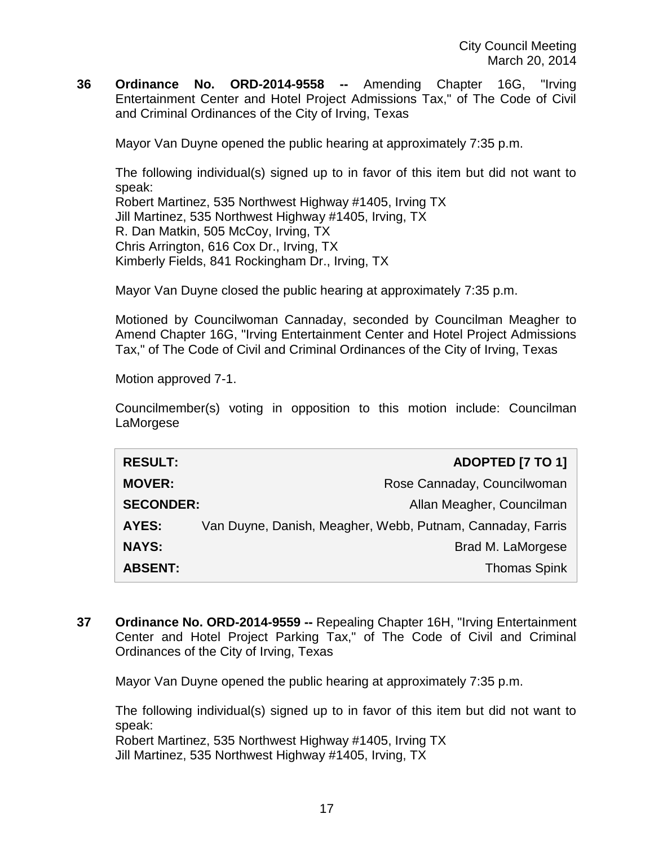**36 Ordinance No. ORD-2014-9558 --** Amending Chapter 16G, "Irving Entertainment Center and Hotel Project Admissions Tax," of The Code of Civil and Criminal Ordinances of the City of Irving, Texas

Mayor Van Duyne opened the public hearing at approximately 7:35 p.m.

The following individual(s) signed up to in favor of this item but did not want to speak:

Robert Martinez, 535 Northwest Highway #1405, Irving TX Jill Martinez, 535 Northwest Highway #1405, Irving, TX R. Dan Matkin, 505 McCoy, Irving, TX Chris Arrington, 616 Cox Dr., Irving, TX Kimberly Fields, 841 Rockingham Dr., Irving, TX

Mayor Van Duyne closed the public hearing at approximately 7:35 p.m.

Motioned by Councilwoman Cannaday, seconded by Councilman Meagher to Amend Chapter 16G, "Irving Entertainment Center and Hotel Project Admissions Tax," of The Code of Civil and Criminal Ordinances of the City of Irving, Texas

Motion approved 7-1.

Councilmember(s) voting in opposition to this motion include: Councilman LaMorgese

| <b>RESULT:</b>   | ADOPTED [7 TO 1]                                           |
|------------------|------------------------------------------------------------|
| <b>MOVER:</b>    | Rose Cannaday, Councilwoman                                |
| <b>SECONDER:</b> | Allan Meagher, Councilman                                  |
| <b>AYES:</b>     | Van Duyne, Danish, Meagher, Webb, Putnam, Cannaday, Farris |
| <b>NAYS:</b>     | Brad M. LaMorgese                                          |
| <b>ABSENT:</b>   | <b>Thomas Spink</b>                                        |

**37 Ordinance No. ORD-2014-9559 --** Repealing Chapter 16H, "Irving Entertainment Center and Hotel Project Parking Tax," of The Code of Civil and Criminal Ordinances of the City of Irving, Texas

Mayor Van Duyne opened the public hearing at approximately 7:35 p.m.

The following individual(s) signed up to in favor of this item but did not want to speak:

Robert Martinez, 535 Northwest Highway #1405, Irving TX Jill Martinez, 535 Northwest Highway #1405, Irving, TX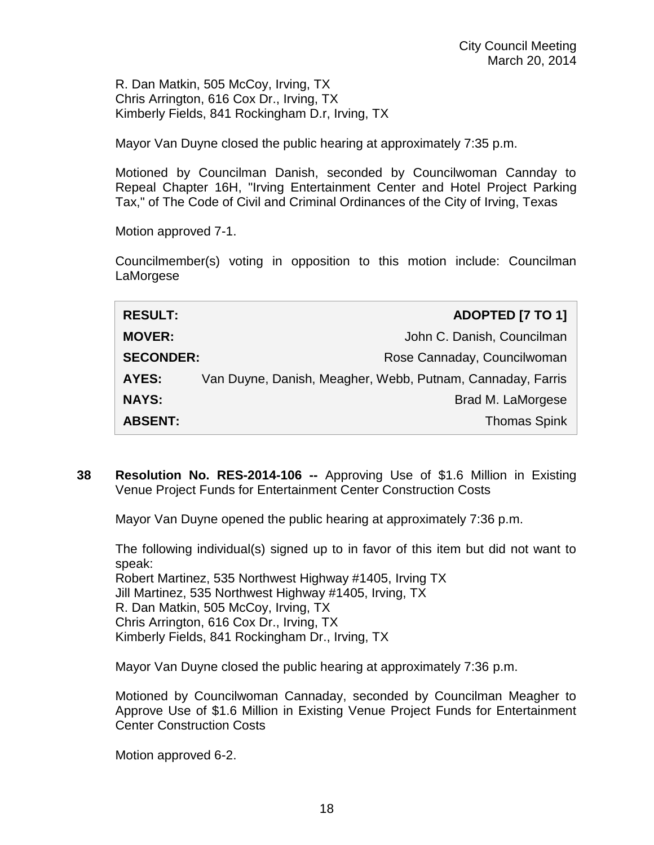R. Dan Matkin, 505 McCoy, Irving, TX Chris Arrington, 616 Cox Dr., Irving, TX Kimberly Fields, 841 Rockingham D.r, Irving, TX

Mayor Van Duyne closed the public hearing at approximately 7:35 p.m.

Motioned by Councilman Danish, seconded by Councilwoman Cannday to Repeal Chapter 16H, "Irving Entertainment Center and Hotel Project Parking Tax," of The Code of Civil and Criminal Ordinances of the City of Irving, Texas

Motion approved 7-1.

Councilmember(s) voting in opposition to this motion include: Councilman LaMorgese

| <b>RESULT:</b>   | ADOPTED [7 TO 1]                                           |
|------------------|------------------------------------------------------------|
| <b>MOVER:</b>    | John C. Danish, Councilman                                 |
| <b>SECONDER:</b> | Rose Cannaday, Councilwoman                                |
| AYES:            | Van Duyne, Danish, Meagher, Webb, Putnam, Cannaday, Farris |
| <b>NAYS:</b>     | Brad M. LaMorgese                                          |
| <b>ABSENT:</b>   | <b>Thomas Spink</b>                                        |

**38 Resolution No. RES-2014-106 --** Approving Use of \$1.6 Million in Existing Venue Project Funds for Entertainment Center Construction Costs

Mayor Van Duyne opened the public hearing at approximately 7:36 p.m.

The following individual(s) signed up to in favor of this item but did not want to speak: Robert Martinez, 535 Northwest Highway #1405, Irving TX Jill Martinez, 535 Northwest Highway #1405, Irving, TX R. Dan Matkin, 505 McCoy, Irving, TX Chris Arrington, 616 Cox Dr., Irving, TX Kimberly Fields, 841 Rockingham Dr., Irving, TX

Mayor Van Duyne closed the public hearing at approximately 7:36 p.m.

Motioned by Councilwoman Cannaday, seconded by Councilman Meagher to Approve Use of \$1.6 Million in Existing Venue Project Funds for Entertainment Center Construction Costs

Motion approved 6-2.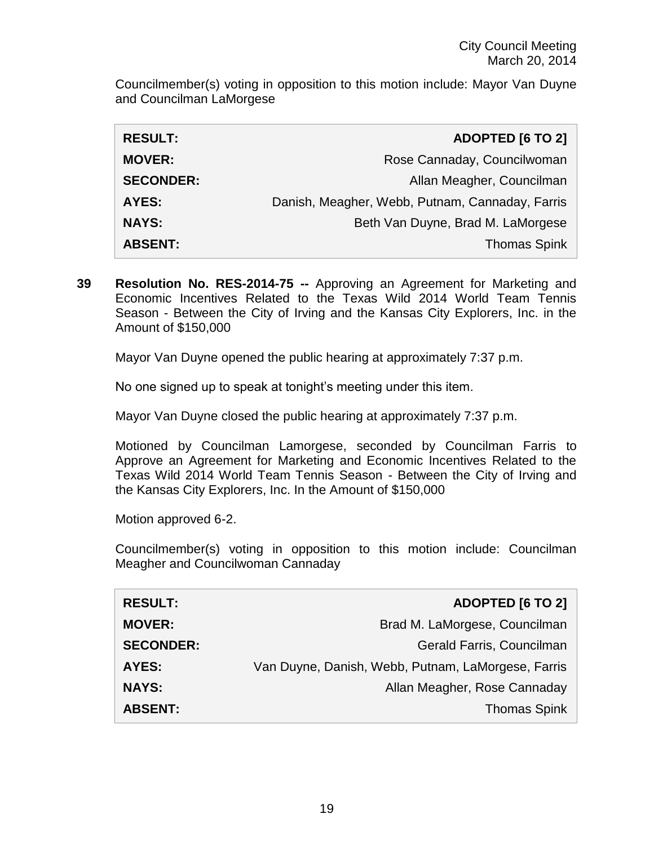Councilmember(s) voting in opposition to this motion include: Mayor Van Duyne and Councilman LaMorgese

| <b>RESULT:</b>   | <b>ADOPTED [6 TO 2]</b>                         |
|------------------|-------------------------------------------------|
| <b>MOVER:</b>    | Rose Cannaday, Councilwoman                     |
| <b>SECONDER:</b> | Allan Meagher, Councilman                       |
| <b>AYES:</b>     | Danish, Meagher, Webb, Putnam, Cannaday, Farris |
| <b>NAYS:</b>     | Beth Van Duyne, Brad M. LaMorgese               |
| <b>ABSENT:</b>   | <b>Thomas Spink</b>                             |

**39 Resolution No. RES-2014-75 --** Approving an Agreement for Marketing and Economic Incentives Related to the Texas Wild 2014 World Team Tennis Season - Between the City of Irving and the Kansas City Explorers, Inc. in the Amount of \$150,000

Mayor Van Duyne opened the public hearing at approximately 7:37 p.m.

No one signed up to speak at tonight's meeting under this item.

Mayor Van Duyne closed the public hearing at approximately 7:37 p.m.

Motioned by Councilman Lamorgese, seconded by Councilman Farris to Approve an Agreement for Marketing and Economic Incentives Related to the Texas Wild 2014 World Team Tennis Season - Between the City of Irving and the Kansas City Explorers, Inc. In the Amount of \$150,000

Motion approved 6-2.

Councilmember(s) voting in opposition to this motion include: Councilman Meagher and Councilwoman Cannaday

| <b>RESULT:</b>   | <b>ADOPTED [6 TO 2]</b>                            |
|------------------|----------------------------------------------------|
| <b>MOVER:</b>    | Brad M. LaMorgese, Councilman                      |
| <b>SECONDER:</b> | Gerald Farris, Councilman                          |
| AYES:            | Van Duyne, Danish, Webb, Putnam, LaMorgese, Farris |
| <b>NAYS:</b>     | Allan Meagher, Rose Cannaday                       |
| <b>ABSENT:</b>   | <b>Thomas Spink</b>                                |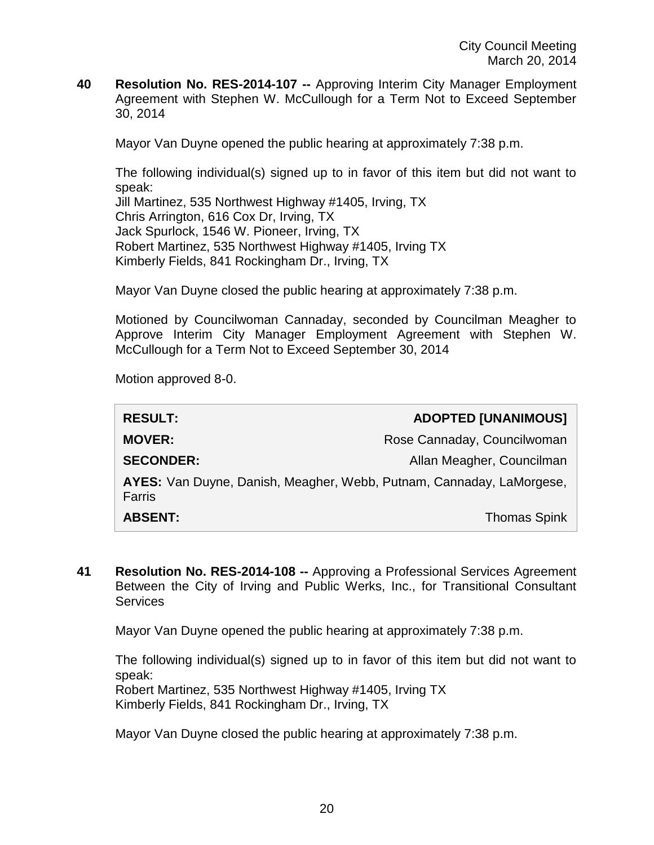**40 Resolution No. RES-2014-107 --** Approving Interim City Manager Employment Agreement with Stephen W. McCullough for a Term Not to Exceed September 30, 2014

Mayor Van Duyne opened the public hearing at approximately 7:38 p.m.

The following individual(s) signed up to in favor of this item but did not want to speak:

Jill Martinez, 535 Northwest Highway #1405, Irving, TX Chris Arrington, 616 Cox Dr, Irving, TX Jack Spurlock, 1546 W. Pioneer, Irving, TX Robert Martinez, 535 Northwest Highway #1405, Irving TX Kimberly Fields, 841 Rockingham Dr., Irving, TX

Mayor Van Duyne closed the public hearing at approximately 7:38 p.m.

Motioned by Councilwoman Cannaday, seconded by Councilman Meagher to Approve Interim City Manager Employment Agreement with Stephen W. McCullough for a Term Not to Exceed September 30, 2014

Motion approved 8-0.

| <b>RESULT:</b>                                                                 | <b>ADOPTED [UNANIMOUS]</b>  |
|--------------------------------------------------------------------------------|-----------------------------|
| <b>MOVER:</b>                                                                  | Rose Cannaday, Councilwoman |
| <b>SECONDER:</b>                                                               | Allan Meagher, Councilman   |
| AYES: Van Duyne, Danish, Meagher, Webb, Putnam, Cannaday, LaMorgese,<br>Farris |                             |
| <b>ABSENT:</b>                                                                 | <b>Thomas Spink</b>         |

**41 Resolution No. RES-2014-108 --** Approving a Professional Services Agreement Between the City of Irving and Public Werks, Inc., for Transitional Consultant Services

Mayor Van Duyne opened the public hearing at approximately 7:38 p.m.

The following individual(s) signed up to in favor of this item but did not want to speak:

Robert Martinez, 535 Northwest Highway #1405, Irving TX Kimberly Fields, 841 Rockingham Dr., Irving, TX

Mayor Van Duyne closed the public hearing at approximately 7:38 p.m.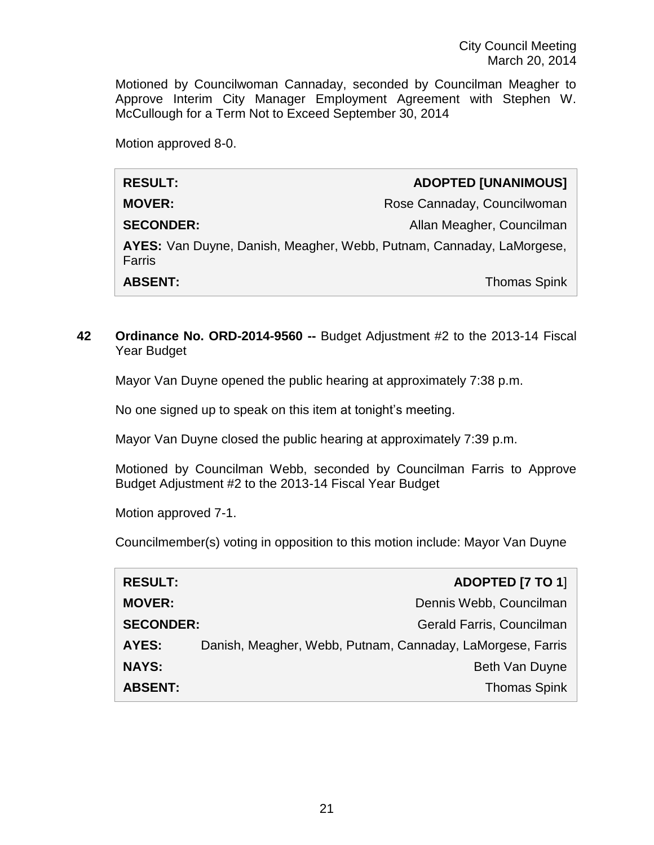Motioned by Councilwoman Cannaday, seconded by Councilman Meagher to Approve Interim City Manager Employment Agreement with Stephen W. McCullough for a Term Not to Exceed September 30, 2014

Motion approved 8-0.

| <b>RESULT:</b>                                                                 | <b>ADOPTED [UNANIMOUS]</b>  |
|--------------------------------------------------------------------------------|-----------------------------|
| <b>MOVER:</b>                                                                  | Rose Cannaday, Councilwoman |
| <b>SECONDER:</b>                                                               | Allan Meagher, Councilman   |
| AYES: Van Duyne, Danish, Meagher, Webb, Putnam, Cannaday, LaMorgese,<br>Farris |                             |
| <b>ABSENT:</b>                                                                 | <b>Thomas Spink</b>         |

### **42 Ordinance No. ORD-2014-9560 --** Budget Adjustment #2 to the 2013-14 Fiscal Year Budget

Mayor Van Duyne opened the public hearing at approximately 7:38 p.m.

No one signed up to speak on this item at tonight's meeting.

Mayor Van Duyne closed the public hearing at approximately 7:39 p.m.

Motioned by Councilman Webb, seconded by Councilman Farris to Approve Budget Adjustment #2 to the 2013-14 Fiscal Year Budget

Motion approved 7-1.

Councilmember(s) voting in opposition to this motion include: Mayor Van Duyne

| <b>RESULT:</b>   | ADOPTED [7 TO 1]                                           |
|------------------|------------------------------------------------------------|
| <b>MOVER:</b>    | Dennis Webb, Councilman                                    |
| <b>SECONDER:</b> | Gerald Farris, Councilman                                  |
| AYES:            | Danish, Meagher, Webb, Putnam, Cannaday, LaMorgese, Farris |
| <b>NAYS:</b>     | Beth Van Duyne                                             |
| <b>ABSENT:</b>   | <b>Thomas Spink</b>                                        |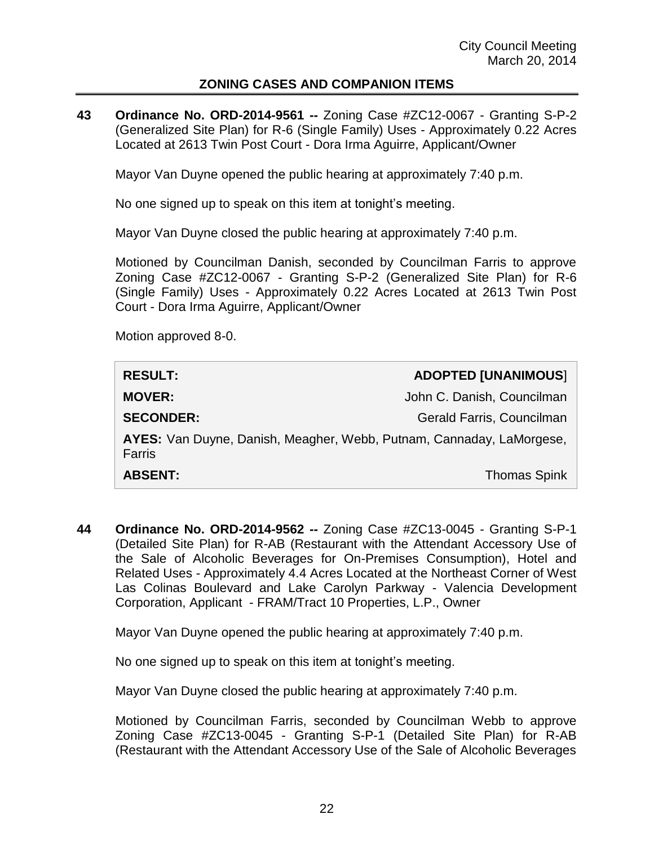#### **ZONING CASES AND COMPANION ITEMS**

**43 Ordinance No. ORD-2014-9561 --** Zoning Case #ZC12-0067 - Granting S-P-2 (Generalized Site Plan) for R-6 (Single Family) Uses - Approximately 0.22 Acres Located at 2613 Twin Post Court - Dora Irma Aguirre, Applicant/Owner

Mayor Van Duyne opened the public hearing at approximately 7:40 p.m.

No one signed up to speak on this item at tonight's meeting.

Mayor Van Duyne closed the public hearing at approximately 7:40 p.m.

Motioned by Councilman Danish, seconded by Councilman Farris to approve Zoning Case #ZC12-0067 - Granting S-P-2 (Generalized Site Plan) for R-6 (Single Family) Uses - Approximately 0.22 Acres Located at 2613 Twin Post Court - Dora Irma Aguirre, Applicant/Owner

Motion approved 8-0.

| <b>RESULT:</b>                                                                 | <b>ADOPTED [UNANIMOUS]</b> |
|--------------------------------------------------------------------------------|----------------------------|
| <b>MOVER:</b>                                                                  | John C. Danish, Councilman |
| <b>SECONDER:</b>                                                               | Gerald Farris, Councilman  |
| AYES: Van Duyne, Danish, Meagher, Webb, Putnam, Cannaday, LaMorgese,<br>Farris |                            |
| <b>ABSENT:</b>                                                                 | <b>Thomas Spink</b>        |

**44 Ordinance No. ORD-2014-9562 --** Zoning Case #ZC13-0045 - Granting S-P-1 (Detailed Site Plan) for R-AB (Restaurant with the Attendant Accessory Use of the Sale of Alcoholic Beverages for On-Premises Consumption), Hotel and Related Uses - Approximately 4.4 Acres Located at the Northeast Corner of West Las Colinas Boulevard and Lake Carolyn Parkway - Valencia Development Corporation, Applicant - FRAM/Tract 10 Properties, L.P., Owner

Mayor Van Duyne opened the public hearing at approximately 7:40 p.m.

No one signed up to speak on this item at tonight's meeting.

Mayor Van Duyne closed the public hearing at approximately 7:40 p.m.

Motioned by Councilman Farris, seconded by Councilman Webb to approve Zoning Case #ZC13-0045 - Granting S-P-1 (Detailed Site Plan) for R-AB (Restaurant with the Attendant Accessory Use of the Sale of Alcoholic Beverages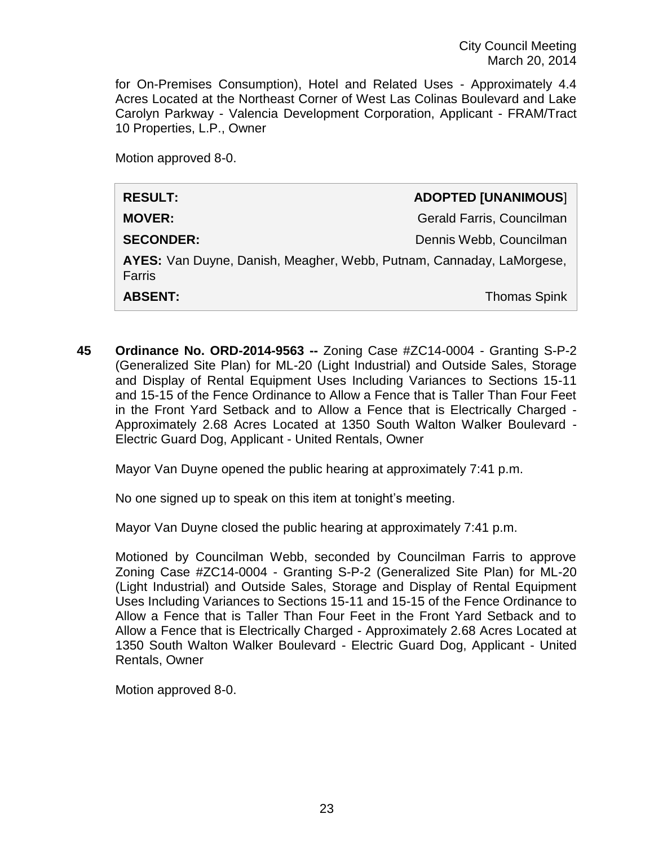for On-Premises Consumption), Hotel and Related Uses - Approximately 4.4 Acres Located at the Northeast Corner of West Las Colinas Boulevard and Lake Carolyn Parkway - Valencia Development Corporation, Applicant - FRAM/Tract 10 Properties, L.P., Owner

Motion approved 8-0.

| <b>RESULT:</b>                                                                 | <b>ADOPTED [UNANIMOUS]</b> |
|--------------------------------------------------------------------------------|----------------------------|
| <b>MOVER:</b>                                                                  | Gerald Farris, Councilman  |
| <b>SECONDER:</b>                                                               | Dennis Webb, Councilman    |
| AYES: Van Duyne, Danish, Meagher, Webb, Putnam, Cannaday, LaMorgese,<br>Farris |                            |
| <b>ABSENT:</b>                                                                 | <b>Thomas Spink</b>        |

**45 Ordinance No. ORD-2014-9563 --** Zoning Case #ZC14-0004 - Granting S-P-2 (Generalized Site Plan) for ML-20 (Light Industrial) and Outside Sales, Storage and Display of Rental Equipment Uses Including Variances to Sections 15-11 and 15-15 of the Fence Ordinance to Allow a Fence that is Taller Than Four Feet in the Front Yard Setback and to Allow a Fence that is Electrically Charged - Approximately 2.68 Acres Located at 1350 South Walton Walker Boulevard - Electric Guard Dog, Applicant - United Rentals, Owner

Mayor Van Duyne opened the public hearing at approximately 7:41 p.m.

No one signed up to speak on this item at tonight's meeting.

Mayor Van Duyne closed the public hearing at approximately 7:41 p.m.

Motioned by Councilman Webb, seconded by Councilman Farris to approve Zoning Case #ZC14-0004 - Granting S-P-2 (Generalized Site Plan) for ML-20 (Light Industrial) and Outside Sales, Storage and Display of Rental Equipment Uses Including Variances to Sections 15-11 and 15-15 of the Fence Ordinance to Allow a Fence that is Taller Than Four Feet in the Front Yard Setback and to Allow a Fence that is Electrically Charged - Approximately 2.68 Acres Located at 1350 South Walton Walker Boulevard - Electric Guard Dog, Applicant - United Rentals, Owner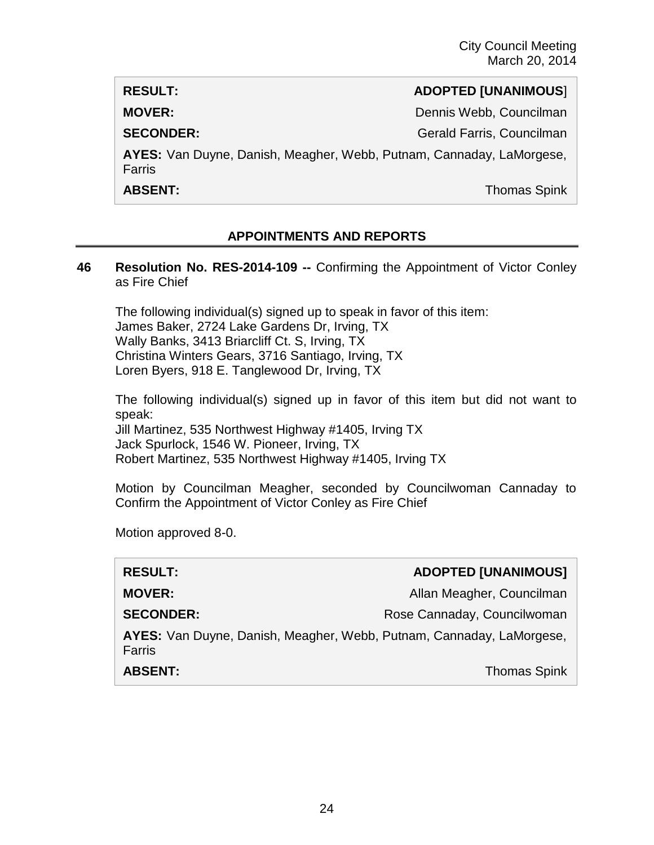#### **RESULT: ADOPTED [UNANIMOUS**]

**MOVER: Dennis Webb, Councilman** 

**SECONDER:** Gerald Farris, Councilman

**AYES:** Van Duyne, Danish, Meagher, Webb, Putnam, Cannaday, LaMorgese, Farris

**ABSENT:** Thomas Spink

## **APPOINTMENTS AND REPORTS**

#### **46 Resolution No. RES-2014-109 --** Confirming the Appointment of Victor Conley as Fire Chief

The following individual(s) signed up to speak in favor of this item: James Baker, 2724 Lake Gardens Dr, Irving, TX Wally Banks, 3413 Briarcliff Ct. S, Irving, TX Christina Winters Gears, 3716 Santiago, Irving, TX Loren Byers, 918 E. Tanglewood Dr, Irving, TX

The following individual(s) signed up in favor of this item but did not want to speak:

Jill Martinez, 535 Northwest Highway #1405, Irving TX Jack Spurlock, 1546 W. Pioneer, Irving, TX Robert Martinez, 535 Northwest Highway #1405, Irving TX

Motion by Councilman Meagher, seconded by Councilwoman Cannaday to Confirm the Appointment of Victor Conley as Fire Chief

| <b>RESULT:</b>                                                                        | <b>ADOPTED [UNANIMOUS]</b>  |
|---------------------------------------------------------------------------------------|-----------------------------|
| <b>MOVER:</b>                                                                         | Allan Meagher, Councilman   |
| <b>SECONDER:</b>                                                                      | Rose Cannaday, Councilwoman |
| AYES: Van Duyne, Danish, Meagher, Webb, Putnam, Cannaday, LaMorgese,<br><b>Farris</b> |                             |
| <b>ABSENT:</b>                                                                        | <b>Thomas Spink</b>         |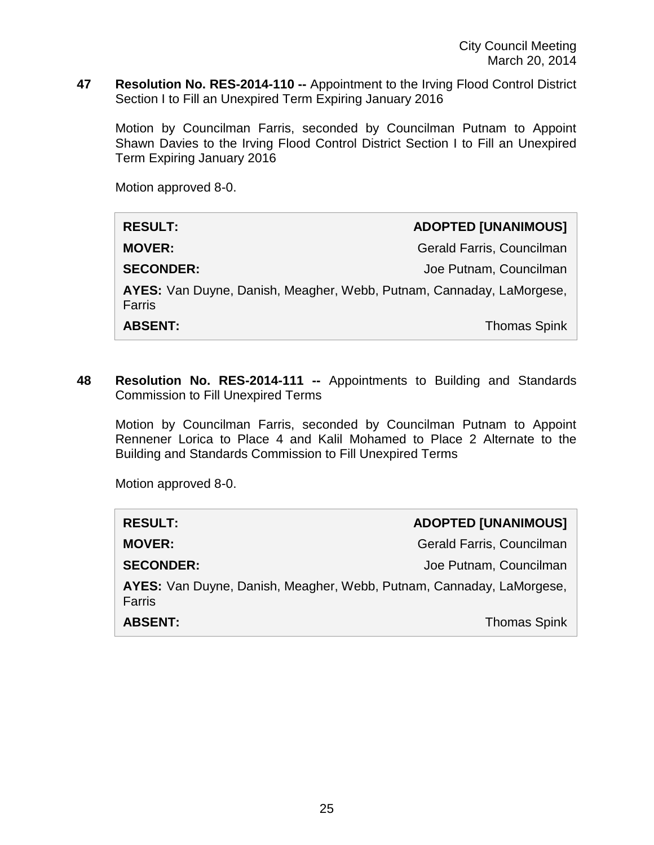**47 Resolution No. RES-2014-110 --** Appointment to the Irving Flood Control District Section I to Fill an Unexpired Term Expiring January 2016

Motion by Councilman Farris, seconded by Councilman Putnam to Appoint Shawn Davies to the Irving Flood Control District Section I to Fill an Unexpired Term Expiring January 2016

Motion approved 8-0.

| <b>RESULT:</b>                                                                 | <b>ADOPTED [UNANIMOUS]</b> |
|--------------------------------------------------------------------------------|----------------------------|
| <b>MOVER:</b>                                                                  | Gerald Farris, Councilman  |
| <b>SECONDER:</b>                                                               | Joe Putnam, Councilman     |
| AYES: Van Duyne, Danish, Meagher, Webb, Putnam, Cannaday, LaMorgese,<br>Farris |                            |
| <b>ABSENT:</b>                                                                 | <b>Thomas Spink</b>        |

**48 Resolution No. RES-2014-111 --** Appointments to Building and Standards Commission to Fill Unexpired Terms

Motion by Councilman Farris, seconded by Councilman Putnam to Appoint Rennener Lorica to Place 4 and Kalil Mohamed to Place 2 Alternate to the Building and Standards Commission to Fill Unexpired Terms

| <b>RESULT:</b>                                                                 | <b>ADOPTED [UNANIMOUS]</b> |
|--------------------------------------------------------------------------------|----------------------------|
| <b>MOVER:</b>                                                                  | Gerald Farris, Councilman  |
| <b>SECONDER:</b>                                                               | Joe Putnam, Councilman     |
| AYES: Van Duyne, Danish, Meagher, Webb, Putnam, Cannaday, LaMorgese,<br>Farris |                            |
| <b>ABSENT:</b>                                                                 | <b>Thomas Spink</b>        |